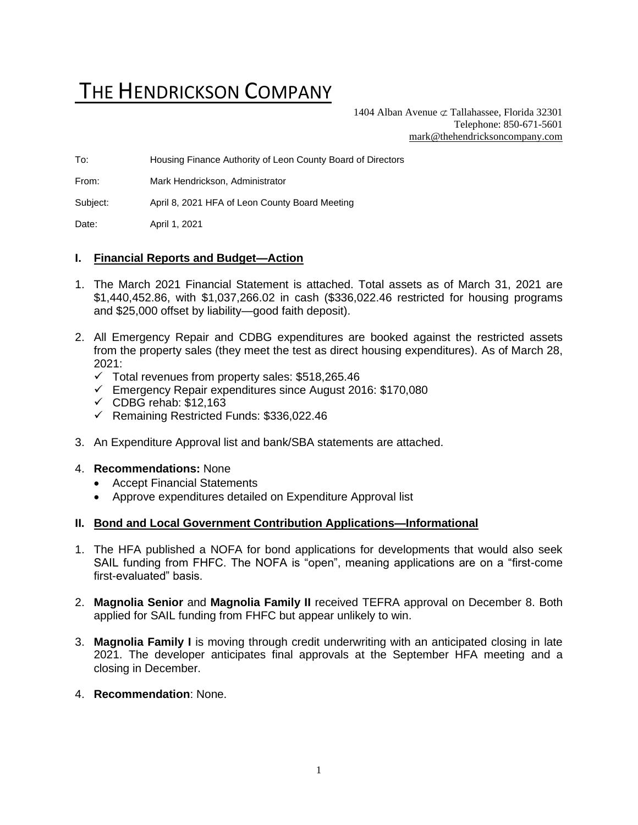# THE HENDRICKSON COMPANY

1404 Alban Avenue  $\sigma$  Tallahassee, Florida 32301 Telephone: 850-671-5601 [mark@thehendricksoncompany.com](mailto:mark@thehendricksoncompany.com)

To: Housing Finance Authority of Leon County Board of Directors

From: Mark Hendrickson, Administrator

Subject: April 8, 2021 HFA of Leon County Board Meeting

Date: April 1, 2021

### **I. Financial Reports and Budget—Action**

- 1. The March 2021 Financial Statement is attached. Total assets as of March 31, 2021 are \$1,440,452.86, with \$1,037,266.02 in cash (\$336,022.46 restricted for housing programs and \$25,000 offset by liability—good faith deposit).
- 2. All Emergency Repair and CDBG expenditures are booked against the restricted assets from the property sales (they meet the test as direct housing expenditures). As of March 28,  $2021$ 
	- $\checkmark$  Total revenues from property sales: \$518,265.46
	- ✓ Emergency Repair expenditures since August 2016: \$170,080
	- $\checkmark$  CDBG rehab: \$12,163
	- ✓ Remaining Restricted Funds: \$336,022.46
- 3. An Expenditure Approval list and bank/SBA statements are attached.

### 4. **Recommendations:** None

- Accept Financial Statements
- Approve expenditures detailed on Expenditure Approval list

#### **II. Bond and Local Government Contribution Applications—Informational**

- 1. The HFA published a NOFA for bond applications for developments that would also seek SAIL funding from FHFC. The NOFA is "open", meaning applications are on a "first-come first-evaluated" basis.
- 2. **Magnolia Senior** and **Magnolia Family II** received TEFRA approval on December 8. Both applied for SAIL funding from FHFC but appear unlikely to win.
- 3. **Magnolia Family I** is moving through credit underwriting with an anticipated closing in late 2021. The developer anticipates final approvals at the September HFA meeting and a closing in December.
- 4. **Recommendation**: None.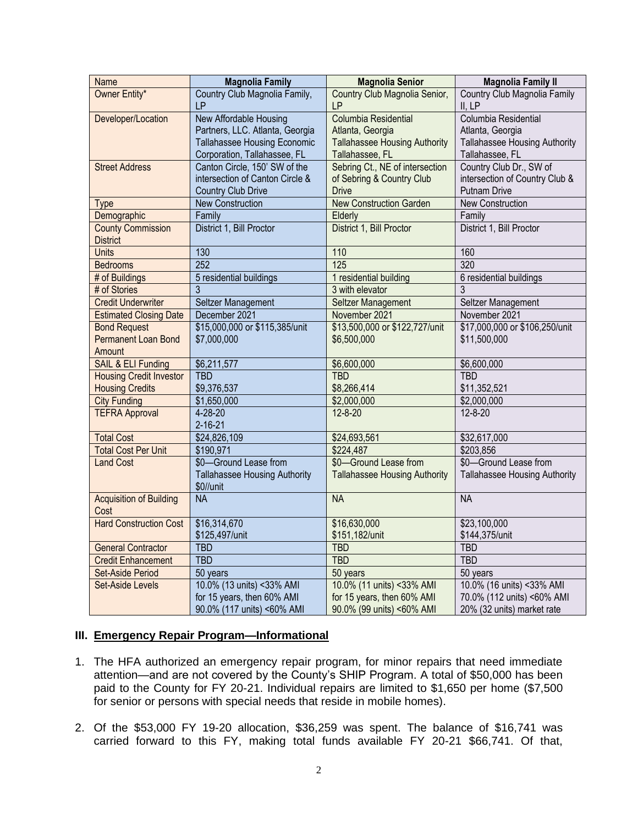| Name                           | <b>Magnolia Family</b>               | <b>Magnolia Senior</b>               | <b>Magnolia Family II</b>            |
|--------------------------------|--------------------------------------|--------------------------------------|--------------------------------------|
| Owner Entity*                  | Country Club Magnolia Family,        | Country Club Magnolia Senior,        | Country Club Magnolia Family         |
|                                | <b>LP</b>                            | LP                                   | II, LP                               |
| Developer/Location             | New Affordable Housing               | Columbia Residential                 | Columbia Residential                 |
|                                | Partners, LLC. Atlanta, Georgia      | Atlanta, Georgia                     | Atlanta, Georgia                     |
|                                | Tallahassee Housing Economic         | <b>Tallahassee Housing Authority</b> | Tallahassee Housing Authority        |
|                                | Corporation, Tallahassee, FL         | Tallahassee, FL                      | Tallahassee, FL                      |
| <b>Street Address</b>          | Canton Circle, 150' SW of the        | Sebring Ct., NE of intersection      | Country Club Dr., SW of              |
|                                | intersection of Canton Circle &      | of Sebring & Country Club            | intersection of Country Club &       |
|                                | <b>Country Club Drive</b>            | <b>Drive</b>                         | <b>Putnam Drive</b>                  |
| <b>Type</b>                    | <b>New Construction</b>              | <b>New Construction Garden</b>       | New Construction                     |
| Demographic                    | Family                               | Elderly                              | Family                               |
| <b>County Commission</b>       | District 1, Bill Proctor             | District 1, Bill Proctor             | District 1, Bill Proctor             |
| <b>District</b>                |                                      |                                      |                                      |
| Units                          | 130                                  | 110                                  | 160                                  |
| <b>Bedrooms</b>                | 252                                  | 125                                  | 320                                  |
| # of Buildings                 | 5 residential buildings              | 1 residential building               | 6 residential buildings              |
| # of Stories                   | 3                                    | 3 with elevator                      | 3                                    |
| <b>Credit Underwriter</b>      | Seltzer Management                   | Seltzer Management                   | Seltzer Management                   |
| <b>Estimated Closing Date</b>  | December 2021                        | November 2021                        | November 2021                        |
| <b>Bond Request</b>            | \$15,000,000 or \$115,385/unit       | \$13,500,000 or \$122,727/unit       | \$17,000,000 or \$106,250/unit       |
| <b>Permanent Loan Bond</b>     | \$7,000,000                          | \$6,500,000                          | \$11,500,000                         |
| Amount                         |                                      |                                      |                                      |
| SAIL & ELI Funding             | \$6,211,577                          | \$6,600,000                          | \$6,600,000                          |
| <b>Housing Credit Investor</b> | <b>TBD</b>                           | <b>TBD</b>                           | <b>TBD</b>                           |
| <b>Housing Credits</b>         | \$9,376,537                          | \$8,266,414                          | \$11,352,521                         |
| <b>City Funding</b>            | \$1,650,000                          | \$2,000,000                          | \$2,000,000                          |
| <b>TEFRA Approval</b>          | $4 - 28 - 20$                        | $12 - 8 - 20$                        | $12 - 8 - 20$                        |
|                                | $2 - 16 - 21$                        |                                      |                                      |
| <b>Total Cost</b>              | \$24,826,109                         | \$24,693,561                         | \$32,617,000                         |
| <b>Total Cost Per Unit</b>     | \$190,971                            | \$224,487                            | \$203,856                            |
| <b>Land Cost</b>               | \$0-Ground Lease from                | \$0-Ground Lease from                | \$0-Ground Lease from                |
|                                | <b>Tallahassee Housing Authority</b> | <b>Tallahassee Housing Authority</b> | <b>Tallahassee Housing Authority</b> |
|                                | \$0//unit                            |                                      |                                      |
| <b>Acquisition of Building</b> | <b>NA</b>                            | <b>NA</b>                            | <b>NA</b>                            |
| Cost                           |                                      |                                      |                                      |
| <b>Hard Construction Cost</b>  | \$16,314,670                         | \$16,630,000                         | \$23,100,000                         |
|                                | \$125,497/unit                       | \$151,182/unit                       | \$144,375/unit                       |
| <b>General Contractor</b>      | <b>TBD</b>                           | <b>TBD</b>                           | <b>TBD</b>                           |
| <b>Credit Enhancement</b>      | <b>TBD</b>                           | <b>TBD</b>                           | <b>TBD</b>                           |
| <b>Set-Aside Period</b>        | 50 years                             | 50 years                             | 50 years                             |
| <b>Set-Aside Levels</b>        | 10.0% (13 units) <33% AMI            | 10.0% (11 units) <33% AMI            | 10.0% (16 units) < 33% AMI           |
|                                | for 15 years, then 60% AMI           | for 15 years, then 60% AMI           | 70.0% (112 units) <60% AMI           |
|                                | 90.0% (117 units) <60% AMI           | 90.0% (99 units) <60% AMI            | 20% (32 units) market rate           |

# **III. Emergency Repair Program—Informational**

- 1. The HFA authorized an emergency repair program, for minor repairs that need immediate attention—and are not covered by the County's SHIP Program. A total of \$50,000 has been paid to the County for FY 20-21. Individual repairs are limited to \$1,650 per home (\$7,500 for senior or persons with special needs that reside in mobile homes).
- 2. Of the \$53,000 FY 19-20 allocation, \$36,259 was spent. The balance of \$16,741 was carried forward to this FY, making total funds available FY 20-21 \$66,741. Of that,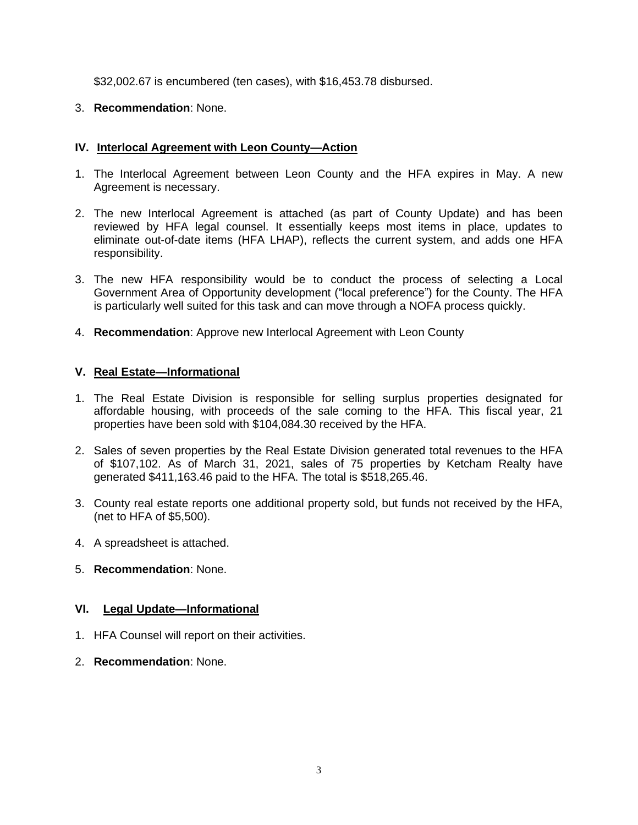\$32,002.67 is encumbered (ten cases), with \$16,453.78 disbursed.

# 3. **Recommendation**: None.

# **IV. Interlocal Agreement with Leon County—Action**

- 1. The Interlocal Agreement between Leon County and the HFA expires in May. A new Agreement is necessary.
- 2. The new Interlocal Agreement is attached (as part of County Update) and has been reviewed by HFA legal counsel. It essentially keeps most items in place, updates to eliminate out-of-date items (HFA LHAP), reflects the current system, and adds one HFA responsibility.
- 3. The new HFA responsibility would be to conduct the process of selecting a Local Government Area of Opportunity development ("local preference") for the County. The HFA is particularly well suited for this task and can move through a NOFA process quickly.
- 4. **Recommendation**: Approve new Interlocal Agreement with Leon County

## **V. Real Estate—Informational**

- 1. The Real Estate Division is responsible for selling surplus properties designated for affordable housing, with proceeds of the sale coming to the HFA. This fiscal year, 21 properties have been sold with \$104,084.30 received by the HFA.
- 2. Sales of seven properties by the Real Estate Division generated total revenues to the HFA of \$107,102. As of March 31, 2021, sales of 75 properties by Ketcham Realty have generated \$411,163.46 paid to the HFA. The total is \$518,265.46.
- 3. County real estate reports one additional property sold, but funds not received by the HFA, (net to HFA of \$5,500).
- 4. A spreadsheet is attached.
- 5. **Recommendation**: None.

# **VI. Legal Update—Informational**

- 1. HFA Counsel will report on their activities.
- 2. **Recommendation**: None.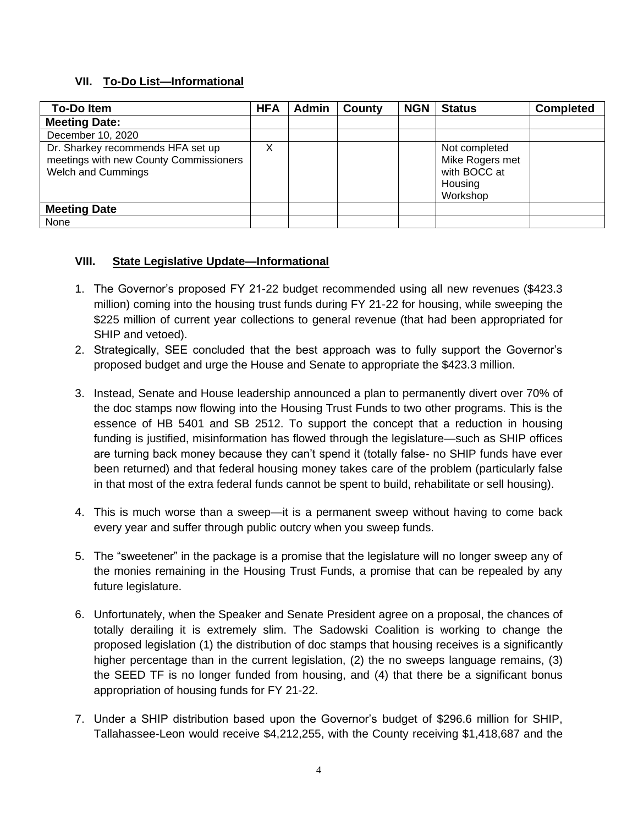# **VII. To-Do List—Informational**

| <b>To-Doltem</b>                                                                                         | <b>HFA</b> | <b>Admin</b> | County | <b>NGN</b> | <b>Status</b>                                                           | <b>Completed</b> |
|----------------------------------------------------------------------------------------------------------|------------|--------------|--------|------------|-------------------------------------------------------------------------|------------------|
| <b>Meeting Date:</b>                                                                                     |            |              |        |            |                                                                         |                  |
| December 10, 2020                                                                                        |            |              |        |            |                                                                         |                  |
| Dr. Sharkey recommends HFA set up<br>meetings with new County Commissioners<br><b>Welch and Cummings</b> |            |              |        |            | Not completed<br>Mike Rogers met<br>with BOCC at<br>Housing<br>Workshop |                  |
| <b>Meeting Date</b>                                                                                      |            |              |        |            |                                                                         |                  |
| None                                                                                                     |            |              |        |            |                                                                         |                  |

# **VIII. State Legislative Update—Informational**

- 1. The Governor's proposed FY 21-22 budget recommended using all new revenues (\$423.3 million) coming into the housing trust funds during FY 21-22 for housing, while sweeping the \$225 million of current year collections to general revenue (that had been appropriated for SHIP and vetoed).
- 2. Strategically, SEE concluded that the best approach was to fully support the Governor's proposed budget and urge the House and Senate to appropriate the \$423.3 million.
- 3. Instead, Senate and House leadership announced a plan to permanently divert over 70% of the doc stamps now flowing into the Housing Trust Funds to two other programs. This is the essence of HB 5401 and SB 2512. To support the concept that a reduction in housing funding is justified, misinformation has flowed through the legislature—such as SHIP offices are turning back money because they can't spend it (totally false- no SHIP funds have ever been returned) and that federal housing money takes care of the problem (particularly false in that most of the extra federal funds cannot be spent to build, rehabilitate or sell housing).
- 4. This is much worse than a sweep—it is a permanent sweep without having to come back every year and suffer through public outcry when you sweep funds.
- 5. The "sweetener" in the package is a promise that the legislature will no longer sweep any of the monies remaining in the Housing Trust Funds, a promise that can be repealed by any future legislature.
- 6. Unfortunately, when the Speaker and Senate President agree on a proposal, the chances of totally derailing it is extremely slim. The Sadowski Coalition is working to change the proposed legislation (1) the distribution of doc stamps that housing receives is a significantly higher percentage than in the current legislation, (2) the no sweeps language remains, (3) the SEED TF is no longer funded from housing, and (4) that there be a significant bonus appropriation of housing funds for FY 21-22.
- 7. Under a SHIP distribution based upon the Governor's budget of \$296.6 million for SHIP, Tallahassee-Leon would receive \$4,212,255, with the County receiving \$1,418,687 and the